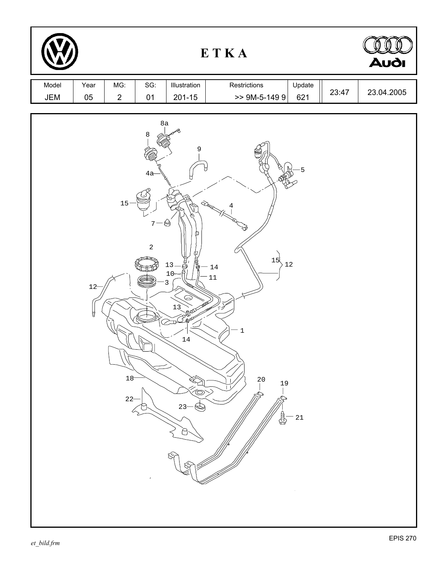|              |             |                    |                                        |                                                                                                                 | ETKA                                                                                                                                      |       | Audi       |
|--------------|-------------|--------------------|----------------------------------------|-----------------------------------------------------------------------------------------------------------------|-------------------------------------------------------------------------------------------------------------------------------------------|-------|------------|
| Model<br>JEM | Year<br>05  | MG:<br>$\sqrt{2}$  | SG:<br>$01$                            | Illustration<br>$201 - 15$                                                                                      | Restrictions<br>Update<br>$> 9M-5-1499$<br>621                                                                                            | 23:47 | 23.04.2005 |
|              | $12 -$<br>Å | 15<br>18<br>$22 -$ | 8a<br>$\,8\,$<br>4a<br>7<br>$\sqrt{2}$ | 9<br>$\circledS$<br>E.<br>ந்தி<br>$13 -$<br>10 <sup>°</sup><br>3<br>13<br><b>Jeles</b><br>$14\,$<br>Ó<br>$23 -$ | 5<br>U<br>$\hat{\mathcal{L}}$<br>15<br>$1\sqrt{2}$<br>$14\,$<br>$11\,$<br>$\ensuremath{\mathsf{1}}$<br>$^{20}$<br>19<br>$2\sqrt{1}$<br>\$ |       |            |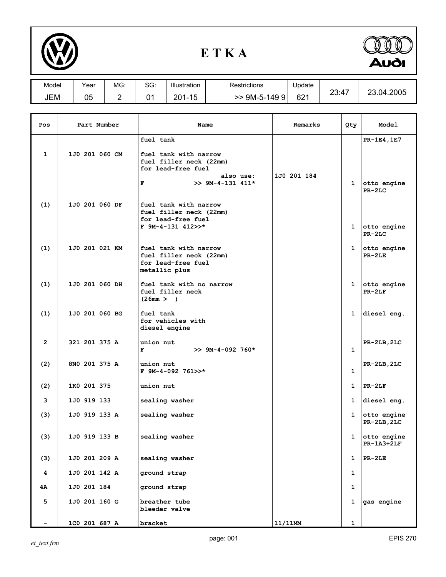

## **E T K A**



| Model | Year | MG: | SG: | Illustration | Restrictions  | <b>J</b> pdate  |                       |                      |
|-------|------|-----|-----|--------------|---------------|-----------------|-----------------------|----------------------|
| JEM   | 05   | -   | ີ   | 1-15<br>201  | 9M-5-149<br>9 | 62 <sup>1</sup> | ን?∙⊿<br><b>49. TI</b> | .2005<br>つつ<br>23.04 |

| Pos            | Part Number    | Name                                                                                                                        | Remarks     | Qty          | <b>Model</b>                           |
|----------------|----------------|-----------------------------------------------------------------------------------------------------------------------------|-------------|--------------|----------------------------------------|
| 1              | 1J0 201 060 CM | fuel tank<br>fuel tank with narrow<br>fuel filler neck (22mm)<br>for lead-free fuel<br>also use:<br>$>> 9M-4-131 411*$<br>F | 1J0 201 184 | 1            | PR-1E4, 1E7<br>otto engine<br>$PR-2LC$ |
| (1)            | 1J0 201 060 DF | fuel tank with narrow<br>fuel filler neck (22mm)<br>for lead-free fuel<br>$F$ 9M-4-131 412>>*                               |             | $\mathbf{1}$ | otto engine<br>$PR-2LC$                |
| (1)            | 1J0 201 021 KM | fuel tank with narrow<br>fuel filler neck (22mm)<br>for lead-free fuel<br>metallic plus                                     |             | 1            | otto engine<br>$PR-2LE$                |
| (1)            | 1J0 201 060 DH | fuel tank with no narrow<br>fuel filler neck<br>(26mm > )                                                                   |             | $\mathbf{1}$ | otto engine<br>$PR-2LF$                |
| (1)            | 1J0 201 060 BG | fuel tank<br>for vehicles with<br>diesel engine                                                                             |             | 1            | diesel eng.                            |
| $\overline{2}$ | 321 201 375 A  | union nut<br>F<br>$>> 9M-4-092 760*$                                                                                        |             | $\mathbf{1}$ | PR-2LB, 2LC                            |
| (2)            | 8NO 201 375 A  | union nut<br>F 9M-4-092 761>>*                                                                                              |             | 1            | PR-2LB, 2LC                            |
| (2)            | 1K0 201 375    | union nut                                                                                                                   |             | $\mathbf{1}$ | $PR-2LF$                               |
| 3              | 1J0 919 133    | sealing washer                                                                                                              |             | $\mathbf{1}$ | diesel eng.                            |
| (3)            | 1J0 919 133 A  | sealing washer                                                                                                              |             | 1            | otto engine<br>$PR-2LB,2LC$            |
| (3)            | 1J0 919 133 B  | sealing washer                                                                                                              |             | 1            | otto engine<br><b>PR-1A3+2LF</b>       |
| (3)            | 1J0 201 209 A  | sealing washer                                                                                                              |             | 1            | $PR-2LE$                               |
| 4              | 1J0 201 142 A  | ground strap                                                                                                                |             | 1            |                                        |
| 4Α             | 1J0 201 184    | ground strap                                                                                                                |             | $\mathbf{1}$ |                                        |
| 5              | 1J0 201 160 G  | breather tube<br>bleeder valve                                                                                              |             | 1            | gas engine                             |
|                | 1C0 201 687 A  | bracket                                                                                                                     | 11/11MM     | $\mathbf{1}$ |                                        |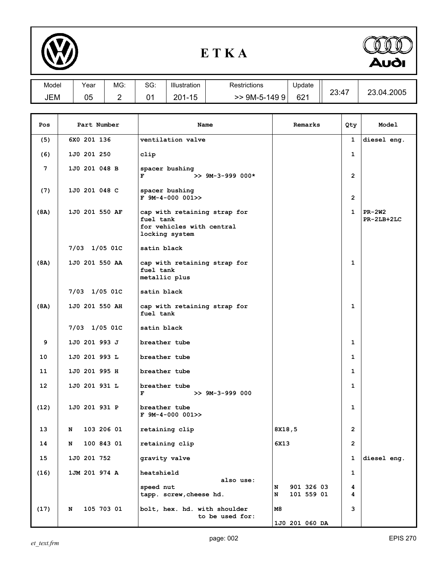

## **E T K A**



| Model      | Year | MG. | $\sim$<br>טכ. | Illustration                 | Restrictions       | Update | $\overline{\phantom{a}}$ | nc         |
|------------|------|-----|---------------|------------------------------|--------------------|--------|--------------------------|------------|
| <b>JEM</b> | 05   | __  | U             | 20 <sub>1</sub><br>. .<br>∠∪ | 9M-5-1<br>49ا<br>м | 621    | 23:47                    | 2005<br>ിച |

| Pos             | Part Number       | Name                                                                                     | Remarks                            | Qty            | Model                  |
|-----------------|-------------------|------------------------------------------------------------------------------------------|------------------------------------|----------------|------------------------|
| (5)             | 6X0 201 136       | ventilation valve                                                                        |                                    | 1              | diesel eng.            |
| (6)             | 1J0 201 250       | clip                                                                                     |                                    | $\mathbf 1$    |                        |
| 7               | 1J0 201 048 B     | spacer bushing<br>F<br>$>> 9M-3-999 000*$                                                |                                    | $\overline{2}$ |                        |
| (7)             | 1J0 201 048 C     | spacer bushing<br>$F$ 9M-4-000 001>>                                                     |                                    | $\overline{2}$ |                        |
| (8A)            | 1J0 201 550 AF    | cap with retaining strap for<br>fuel tank<br>for vehicles with central<br>locking system |                                    | 1              | $PR-2W2$<br>PR-2LB+2LC |
|                 | 7/03 1/05 01C     | satin black                                                                              |                                    |                |                        |
| (8A)            | 1J0 201 550 AA    | cap with retaining strap for<br>fuel tank<br>metallic plus                               |                                    | 1              |                        |
|                 | 7/03 1/05 01C     | satin black                                                                              |                                    |                |                        |
| (8A)            | 1J0 201 550 AH    | cap with retaining strap for<br>fuel tank                                                |                                    | 1              |                        |
|                 | 7/03 1/05 01C     | satin black                                                                              |                                    |                |                        |
| 9               | $1J0$ 201 993 $J$ | breather tube                                                                            |                                    | $\mathbf{1}$   |                        |
| 10              | 1J0 201 993 L     | breather tube                                                                            |                                    | 1              |                        |
| 11              | 1J0 201 995 H     | breather tube                                                                            |                                    | 1              |                        |
| 12 <sup>2</sup> | 1J0 201 931 L     | breather tube<br>F<br>$>> 9M-3-999 000$                                                  |                                    | 1              |                        |
| (12)            | 1J0 201 931 P     | breather tube<br>$F$ 9M-4-000 001>>                                                      |                                    | $\mathbf 1$    |                        |
| 13              | 103 206 01<br>N   | retaining clip                                                                           | 8X18,5                             | $\overline{2}$ |                        |
| 14              | 100 843 01<br>N   | retaining clip                                                                           | 6X13                               | 2              |                        |
| 15              | 1J0 201 752       | gravity valve                                                                            |                                    | 1              | diesel eng.            |
| (16)            | 1JM 201 974 A     | heatshield                                                                               |                                    | $\mathbf{1}$   |                        |
|                 |                   | also use:<br>speed nut<br>tapp. screw, cheese hd.                                        | 901 326 03<br>N<br>101 559 01<br>N | 4<br>4         |                        |
| (17)            | 105 703 01<br>N   | bolt, hex. hd. with shoulder<br>to be used for:                                          | м8<br>1J0 201 060 DA               | з              |                        |